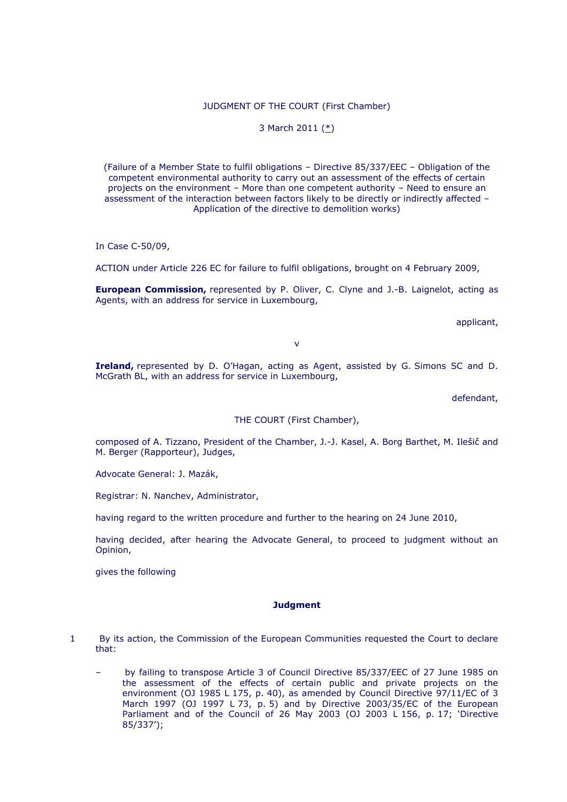## JUDGMENT OF THE COURT (First Chamber)

### 3 March 2011 [\(\\*\)](http://curia.europa.eu/jurisp/cgi-bin/gettext.pl?where=&lang=en&num=79889696C19090050&doc=T&ouvert=T&seance=ARRET#Footnote*)

(Failure of a Member State to fulfil obligations – Directive 85/337/EEC – Obligation of the competent environmental authority to carry out an assessment of the effects of certain projects on the environment – More than one competent authority – Need to ensure an assessment of the interaction between factors likely to be directly or indirectly affected – Application of the directive to demolition works)

In Case C-50/09,

ACTION under Article 226 EC for failure to fulfil obligations, brought on 4 February 2009,

**European Commission,** represented by P. Oliver, C. Clyne and J.-B. Laignelot, acting as Agents, with an address for service in Luxembourg,

applicant,

v

**Ireland,** represented by D. O"Hagan, acting as Agent, assisted by G. Simons SC and D. McGrath BL, with an address for service in Luxembourg,

defendant,

THE COURT (First Chamber),

composed of A. Tizzano, President of the Chamber, J.-J. Kasel, A. Borg Barthet, M. Ilešič and M. Berger (Rapporteur), Judges,

Advocate General: J. Mazák,

Registrar: N. Nanchev, Administrator,

having regard to the written procedure and further to the hearing on 24 June 2010,

having decided, after hearing the Advocate General, to proceed to judgment without an Opinion,

gives the following

#### **Judgment**

- 1 By its action, the Commission of the European Communities requested the Court to declare that:
	- by failing to transpose Article 3 of Council Directive 85/337/EEC of 27 June 1985 on the assessment of the effects of certain public and private projects on the environment (OJ 1985 L 175, p. 40), as amended by Council Directive 97/11/EC of 3 March 1997 (OJ 1997 L 73, p. 5) and by Directive 2003/35/EC of the European Parliament and of the Council of 26 May 2003 (OJ 2003 L 156, p. 17; "Directive 85/337");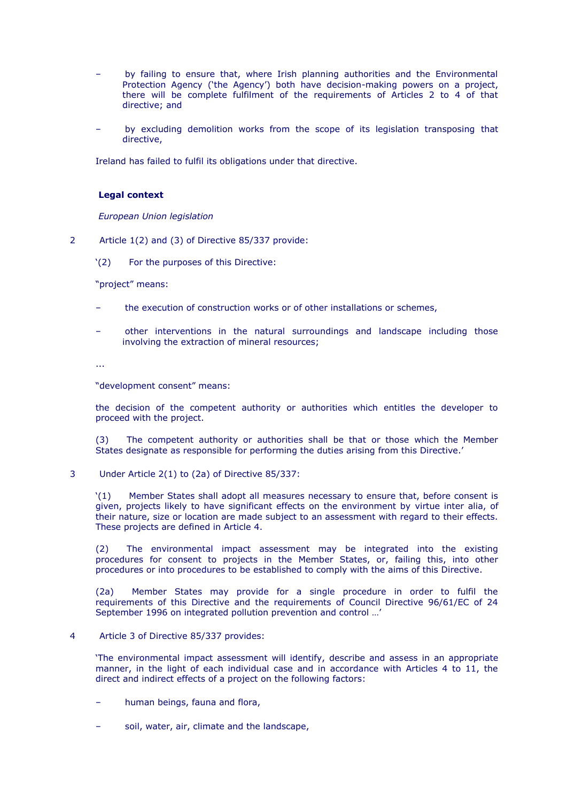- by failing to ensure that, where Irish planning authorities and the Environmental Protection Agency ('the Agency') both have decision-making powers on a project, there will be complete fulfilment of the requirements of Articles 2 to 4 of that directive; and
- by excluding demolition works from the scope of its legislation transposing that directive,

Ireland has failed to fulfil its obligations under that directive.

### **Legal context**

*European Union legislation*

- 2 Article 1(2) and (3) of Directive 85/337 provide:
	- "(2) For the purposes of this Directive:

"project" means:

- the execution of construction works or of other installations or schemes,
- other interventions in the natural surroundings and landscape including those involving the extraction of mineral resources;

...

"development consent" means:

the decision of the competent authority or authorities which entitles the developer to proceed with the project.

(3) The competent authority or authorities shall be that or those which the Member States designate as responsible for performing the duties arising from this Directive."

3 Under Article 2(1) to (2a) of Directive 85/337:

"(1) Member States shall adopt all measures necessary to ensure that, before consent is given, projects likely to have significant effects on the environment by virtue inter alia, of their nature, size or location are made subject to an assessment with regard to their effects. These projects are defined in Article 4.

(2) The environmental impact assessment may be integrated into the existing procedures for consent to projects in the Member States, or, failing this, into other procedures or into procedures to be established to comply with the aims of this Directive.

(2a) Member States may provide for a single procedure in order to fulfil the requirements of this Directive and the requirements of Council Directive 96/61/EC of 24 September 1996 on integrated pollution prevention and control …"

4 Article 3 of Directive 85/337 provides:

"The environmental impact assessment will identify, describe and assess in an appropriate manner, in the light of each individual case and in accordance with Articles 4 to 11, the direct and indirect effects of a project on the following factors:

- human beings, fauna and flora,
- soil, water, air, climate and the landscape,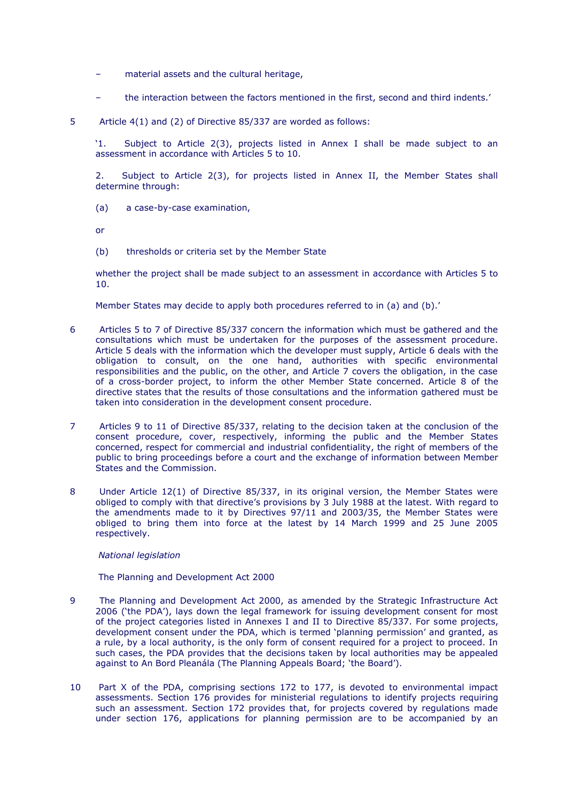- material assets and the cultural heritage,
- the interaction between the factors mentioned in the first, second and third indents.'
- 5 Article 4(1) and (2) of Directive 85/337 are worded as follows:

"1. Subject to Article 2(3), projects listed in Annex I shall be made subject to an assessment in accordance with Articles 5 to 10.

2. Subject to Article 2(3), for projects listed in Annex II, the Member States shall determine through:

(a) a case-by-case examination,

or

(b) thresholds or criteria set by the Member State

whether the project shall be made subject to an assessment in accordance with Articles 5 to 10.

Member States may decide to apply both procedures referred to in (a) and (b).'

- 6 Articles 5 to 7 of Directive 85/337 concern the information which must be gathered and the consultations which must be undertaken for the purposes of the assessment procedure. Article 5 deals with the information which the developer must supply, Article 6 deals with the obligation to consult, on the one hand, authorities with specific environmental responsibilities and the public, on the other, and Article 7 covers the obligation, in the case of a cross-border project, to inform the other Member State concerned. Article 8 of the directive states that the results of those consultations and the information gathered must be taken into consideration in the development consent procedure.
- 7 Articles 9 to 11 of Directive 85/337, relating to the decision taken at the conclusion of the consent procedure, cover, respectively, informing the public and the Member States concerned, respect for commercial and industrial confidentiality, the right of members of the public to bring proceedings before a court and the exchange of information between Member States and the Commission.
- 8 Under Article 12(1) of Directive 85/337, in its original version, the Member States were obliged to comply with that directive"s provisions by 3 July 1988 at the latest. With regard to the amendments made to it by Directives 97/11 and 2003/35, the Member States were obliged to bring them into force at the latest by 14 March 1999 and 25 June 2005 respectively.

### *National legislation*

The Planning and Development Act 2000

- 9 The Planning and Development Act 2000, as amended by the Strategic Infrastructure Act 2006 ("the PDA"), lays down the legal framework for issuing development consent for most of the project categories listed in Annexes I and II to Directive 85/337. For some projects, development consent under the PDA, which is termed "planning permission" and granted, as a rule, by a local authority, is the only form of consent required for a project to proceed. In such cases, the PDA provides that the decisions taken by local authorities may be appealed against to An Bord Pleanála (The Planning Appeals Board; "the Board").
- 10 Part X of the PDA, comprising sections 172 to 177, is devoted to environmental impact assessments. Section 176 provides for ministerial regulations to identify projects requiring such an assessment. Section 172 provides that, for projects covered by regulations made under section 176, applications for planning permission are to be accompanied by an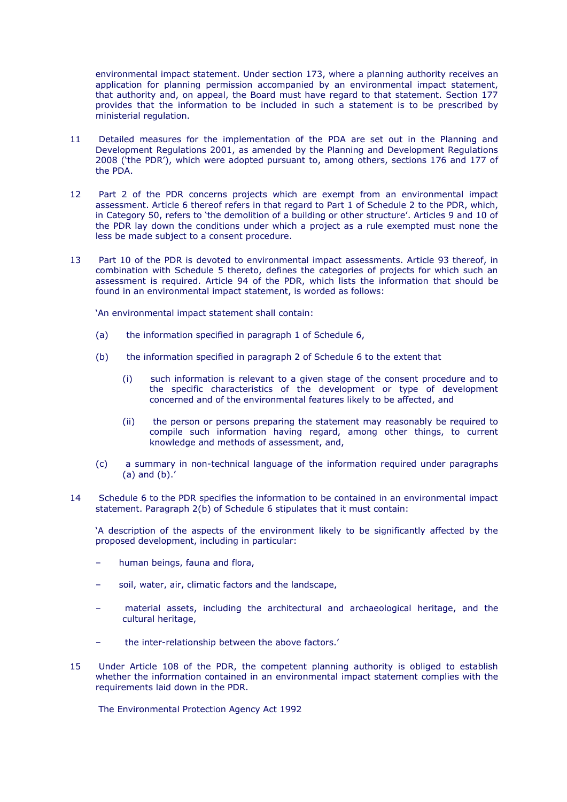environmental impact statement. Under section 173, where a planning authority receives an application for planning permission accompanied by an environmental impact statement, that authority and, on appeal, the Board must have regard to that statement. Section 177 provides that the information to be included in such a statement is to be prescribed by ministerial regulation.

- 11 Detailed measures for the implementation of the PDA are set out in the Planning and Development Regulations 2001, as amended by the Planning and Development Regulations 2008 ("the PDR"), which were adopted pursuant to, among others, sections 176 and 177 of the PDA.
- 12 Part 2 of the PDR concerns projects which are exempt from an environmental impact assessment. Article 6 thereof refers in that regard to Part 1 of Schedule 2 to the PDR, which, in Category 50, refers to 'the demolition of a building or other structure'. Articles 9 and 10 of the PDR lay down the conditions under which a project as a rule exempted must none the less be made subject to a consent procedure.
- 13 Part 10 of the PDR is devoted to environmental impact assessments. Article 93 thereof, in combination with Schedule 5 thereto, defines the categories of projects for which such an assessment is required. Article 94 of the PDR, which lists the information that should be found in an environmental impact statement, is worded as follows:

"An environmental impact statement shall contain:

- (a) the information specified in paragraph 1 of Schedule 6,
- (b) the information specified in paragraph 2 of Schedule 6 to the extent that
	- (i) such information is relevant to a given stage of the consent procedure and to the specific characteristics of the development or type of development concerned and of the environmental features likely to be affected, and
	- (ii) the person or persons preparing the statement may reasonably be required to compile such information having regard, among other things, to current knowledge and methods of assessment, and,
- (c) a summary in non-technical language of the information required under paragraphs  $(a)$  and  $(b)$ .'
- 14 Schedule 6 to the PDR specifies the information to be contained in an environmental impact statement. Paragraph 2(b) of Schedule 6 stipulates that it must contain:

"A description of the aspects of the environment likely to be significantly affected by the proposed development, including in particular:

- human beings, fauna and flora,
- soil, water, air, climatic factors and the landscape,
- material assets, including the architectural and archaeological heritage, and the cultural heritage,
- the inter-relationship between the above factors.'
- 15 Under Article 108 of the PDR, the competent planning authority is obliged to establish whether the information contained in an environmental impact statement complies with the requirements laid down in the PDR.

The Environmental Protection Agency Act 1992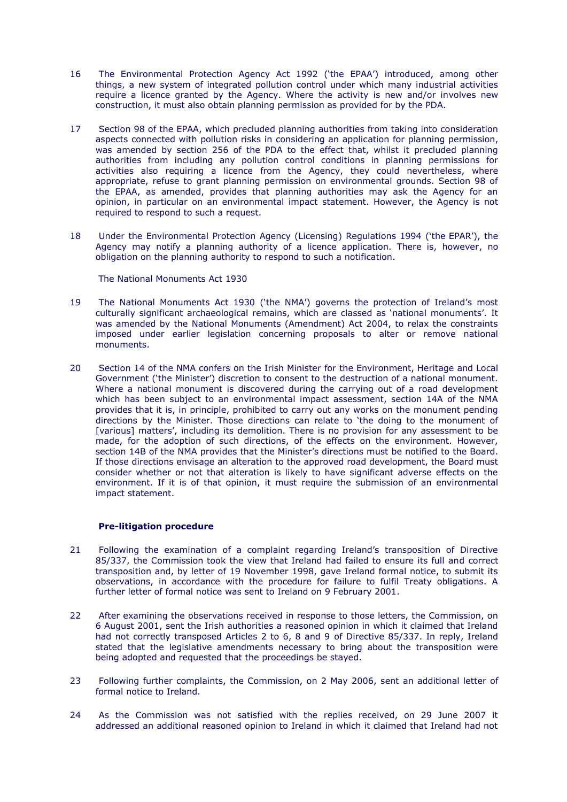- 16 The Environmental Protection Agency Act 1992 ("the EPAA") introduced, among other things, a new system of integrated pollution control under which many industrial activities require a licence granted by the Agency. Where the activity is new and/or involves new construction, it must also obtain planning permission as provided for by the PDA.
- 17 Section 98 of the EPAA, which precluded planning authorities from taking into consideration aspects connected with pollution risks in considering an application for planning permission, was amended by section 256 of the PDA to the effect that, whilst it precluded planning authorities from including any pollution control conditions in planning permissions for activities also requiring a licence from the Agency, they could nevertheless, where appropriate, refuse to grant planning permission on environmental grounds. Section 98 of the EPAA, as amended, provides that planning authorities may ask the Agency for an opinion, in particular on an environmental impact statement. However, the Agency is not required to respond to such a request.
- 18 Under the Environmental Protection Agency (Licensing) Regulations 1994 ('the EPAR'), the Agency may notify a planning authority of a licence application. There is, however, no obligation on the planning authority to respond to such a notification.

The National Monuments Act 1930

- 19 The National Monuments Act 1930 ("the NMA") governs the protection of Ireland"s most culturally significant archaeological remains, which are classed as "national monuments". It was amended by the National Monuments (Amendment) Act 2004, to relax the constraints imposed under earlier legislation concerning proposals to alter or remove national monuments.
- 20 Section 14 of the NMA confers on the Irish Minister for the Environment, Heritage and Local Government ("the Minister") discretion to consent to the destruction of a national monument. Where a national monument is discovered during the carrying out of a road development which has been subject to an environmental impact assessment, section 14A of the NMA provides that it is, in principle, prohibited to carry out any works on the monument pending directions by the Minister. Those directions can relate to "the doing to the monument of [various] matters', including its demolition. There is no provision for any assessment to be made, for the adoption of such directions, of the effects on the environment. However, section 14B of the NMA provides that the Minister"s directions must be notified to the Board. If those directions envisage an alteration to the approved road development, the Board must consider whether or not that alteration is likely to have significant adverse effects on the environment. If it is of that opinion, it must require the submission of an environmental impact statement.

# **Pre-litigation procedure**

- 21 Following the examination of a complaint regarding Ireland"s transposition of Directive 85/337, the Commission took the view that Ireland had failed to ensure its full and correct transposition and, by letter of 19 November 1998, gave Ireland formal notice, to submit its observations, in accordance with the procedure for failure to fulfil Treaty obligations. A further letter of formal notice was sent to Ireland on 9 February 2001.
- 22 After examining the observations received in response to those letters, the Commission, on 6 August 2001, sent the Irish authorities a reasoned opinion in which it claimed that Ireland had not correctly transposed Articles 2 to 6, 8 and 9 of Directive 85/337. In reply, Ireland stated that the legislative amendments necessary to bring about the transposition were being adopted and requested that the proceedings be stayed.
- 23 Following further complaints, the Commission, on 2 May 2006, sent an additional letter of formal notice to Ireland.
- 24 As the Commission was not satisfied with the replies received, on 29 June 2007 it addressed an additional reasoned opinion to Ireland in which it claimed that Ireland had not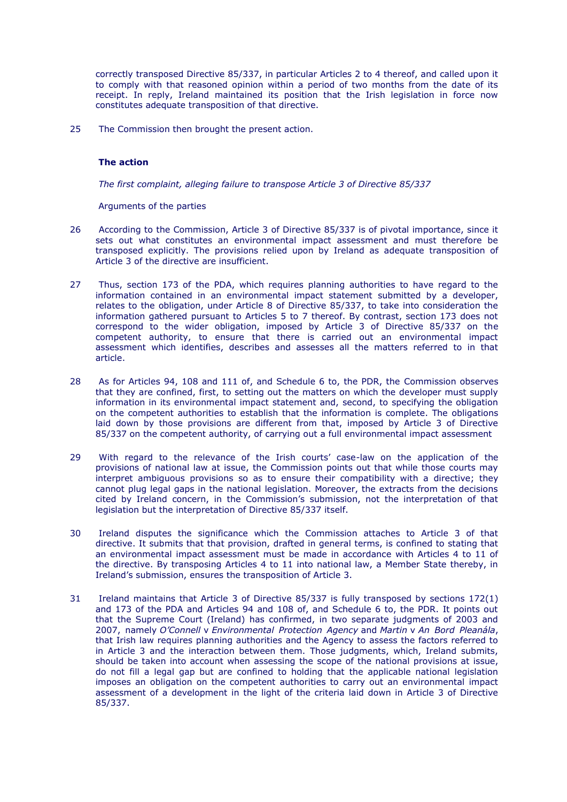correctly transposed Directive 85/337, in particular Articles 2 to 4 thereof, and called upon it to comply with that reasoned opinion within a period of two months from the date of its receipt. In reply, Ireland maintained its position that the Irish legislation in force now constitutes adequate transposition of that directive.

25 The Commission then brought the present action.

# **The action**

*The first complaint, alleging failure to transpose Article 3 of Directive 85/337*

Arguments of the parties

- 26 According to the Commission, Article 3 of Directive 85/337 is of pivotal importance, since it sets out what constitutes an environmental impact assessment and must therefore be transposed explicitly. The provisions relied upon by Ireland as adequate transposition of Article 3 of the directive are insufficient.
- 27 Thus, section 173 of the PDA, which requires planning authorities to have regard to the information contained in an environmental impact statement submitted by a developer, relates to the obligation, under Article 8 of Directive 85/337, to take into consideration the information gathered pursuant to Articles 5 to 7 thereof. By contrast, section 173 does not correspond to the wider obligation, imposed by Article 3 of Directive 85/337 on the competent authority, to ensure that there is carried out an environmental impact assessment which identifies, describes and assesses all the matters referred to in that article.
- 28 As for Articles 94, 108 and 111 of, and Schedule 6 to, the PDR, the Commission observes that they are confined, first, to setting out the matters on which the developer must supply information in its environmental impact statement and, second, to specifying the obligation on the competent authorities to establish that the information is complete. The obligations laid down by those provisions are different from that, imposed by Article 3 of Directive 85/337 on the competent authority, of carrying out a full environmental impact assessment
- 29 With regard to the relevance of the Irish courts" case-law on the application of the provisions of national law at issue, the Commission points out that while those courts may interpret ambiguous provisions so as to ensure their compatibility with a directive; they cannot plug legal gaps in the national legislation. Moreover, the extracts from the decisions cited by Ireland concern, in the Commission"s submission, not the interpretation of that legislation but the interpretation of Directive 85/337 itself.
- 30 Ireland disputes the significance which the Commission attaches to Article 3 of that directive. It submits that that provision, drafted in general terms, is confined to stating that an environmental impact assessment must be made in accordance with Articles 4 to 11 of the directive. By transposing Articles 4 to 11 into national law, a Member State thereby, in Ireland"s submission, ensures the transposition of Article 3.
- 31 Ireland maintains that Article 3 of Directive 85/337 is fully transposed by sections 172(1) and 173 of the PDA and Articles 94 and 108 of, and Schedule 6 to, the PDR. It points out that the Supreme Court (Ireland) has confirmed, in two separate judgments of 2003 and 2007, namely *O'Connell* v *Environmental Protection Agency* and *Martin* v *An Bord Pleanála*, that Irish law requires planning authorities and the Agency to assess the factors referred to in Article 3 and the interaction between them. Those judgments, which, Ireland submits, should be taken into account when assessing the scope of the national provisions at issue, do not fill a legal gap but are confined to holding that the applicable national legislation imposes an obligation on the competent authorities to carry out an environmental impact assessment of a development in the light of the criteria laid down in Article 3 of Directive 85/337.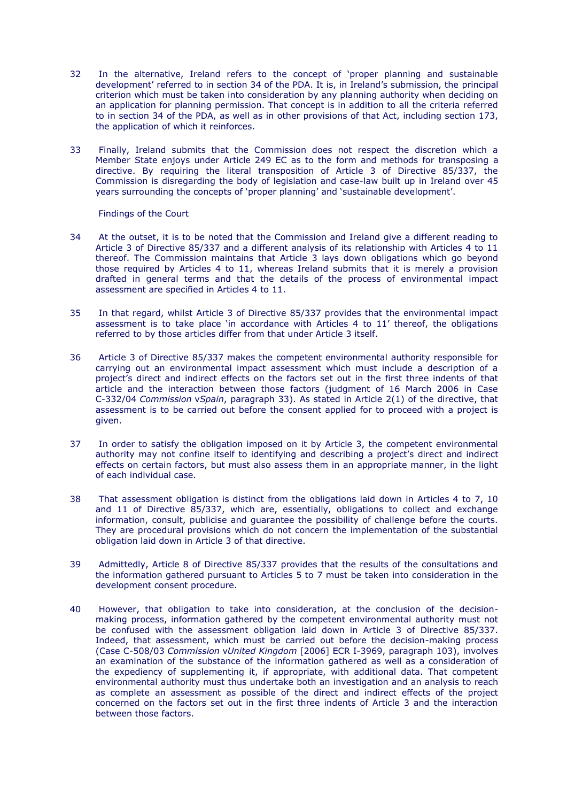- 32 In the alternative, Ireland refers to the concept of "proper planning and sustainable development" referred to in section 34 of the PDA. It is, in Ireland"s submission, the principal criterion which must be taken into consideration by any planning authority when deciding on an application for planning permission. That concept is in addition to all the criteria referred to in section 34 of the PDA, as well as in other provisions of that Act, including section 173, the application of which it reinforces.
- 33 Finally, Ireland submits that the Commission does not respect the discretion which a Member State enjoys under Article 249 EC as to the form and methods for transposing a directive. By requiring the literal transposition of Article 3 of Directive 85/337, the Commission is disregarding the body of legislation and case-law built up in Ireland over 45 years surrounding the concepts of "proper planning" and "sustainable development".

Findings of the Court

- 34 At the outset, it is to be noted that the Commission and Ireland give a different reading to Article 3 of Directive 85/337 and a different analysis of its relationship with Articles 4 to 11 thereof. The Commission maintains that Article 3 lays down obligations which go beyond those required by Articles 4 to 11, whereas Ireland submits that it is merely a provision drafted in general terms and that the details of the process of environmental impact assessment are specified in Articles 4 to 11.
- 35 In that regard, whilst Article 3 of Directive 85/337 provides that the environmental impact assessment is to take place "in accordance with Articles 4 to 11" thereof, the obligations referred to by those articles differ from that under Article 3 itself.
- 36 Article 3 of Directive 85/337 makes the competent environmental authority responsible for carrying out an environmental impact assessment which must include a description of a project"s direct and indirect effects on the factors set out in the first three indents of that article and the interaction between those factors (judgment of 16 March 2006 in Case C-332/04 *Commission* v*Spain*, paragraph 33). As stated in Article 2(1) of the directive, that assessment is to be carried out before the consent applied for to proceed with a project is given.
- 37 In order to satisfy the obligation imposed on it by Article 3, the competent environmental authority may not confine itself to identifying and describing a project's direct and indirect effects on certain factors, but must also assess them in an appropriate manner, in the light of each individual case.
- 38 That assessment obligation is distinct from the obligations laid down in Articles 4 to 7, 10 and 11 of Directive 85/337, which are, essentially, obligations to collect and exchange information, consult, publicise and guarantee the possibility of challenge before the courts. They are procedural provisions which do not concern the implementation of the substantial obligation laid down in Article 3 of that directive.
- 39 Admittedly, Article 8 of Directive 85/337 provides that the results of the consultations and the information gathered pursuant to Articles 5 to 7 must be taken into consideration in the development consent procedure.
- 40 However, that obligation to take into consideration, at the conclusion of the decisionmaking process, information gathered by the competent environmental authority must not be confused with the assessment obligation laid down in Article 3 of Directive 85/337. Indeed, that assessment, which must be carried out before the decision-making process (Case C-508/03 *Commission* v*United Kingdom* [2006] ECR I-3969, paragraph 103), involves an examination of the substance of the information gathered as well as a consideration of the expediency of supplementing it, if appropriate, with additional data. That competent environmental authority must thus undertake both an investigation and an analysis to reach as complete an assessment as possible of the direct and indirect effects of the project concerned on the factors set out in the first three indents of Article 3 and the interaction between those factors.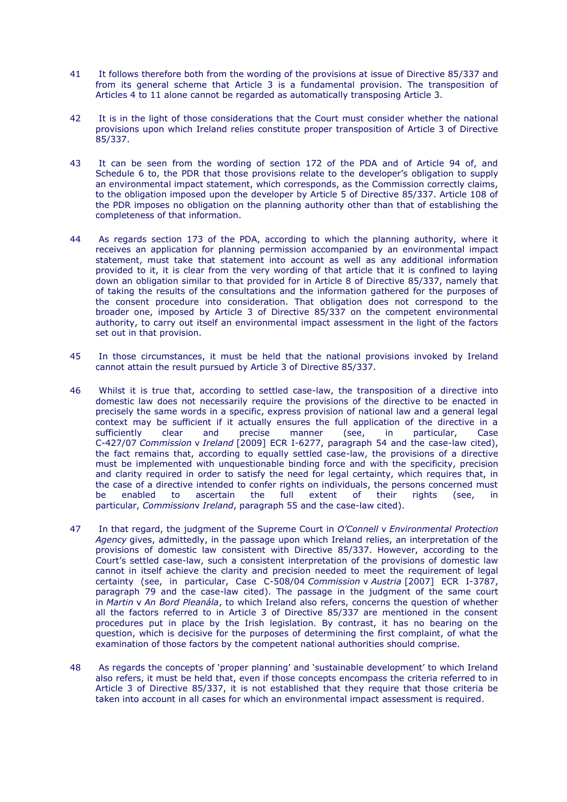- 41 It follows therefore both from the wording of the provisions at issue of Directive 85/337 and from its general scheme that Article 3 is a fundamental provision. The transposition of Articles 4 to 11 alone cannot be regarded as automatically transposing Article 3.
- 42 It is in the light of those considerations that the Court must consider whether the national provisions upon which Ireland relies constitute proper transposition of Article 3 of Directive 85/337.
- 43 It can be seen from the wording of section 172 of the PDA and of Article 94 of, and Schedule 6 to, the PDR that those provisions relate to the developer"s obligation to supply an environmental impact statement, which corresponds, as the Commission correctly claims, to the obligation imposed upon the developer by Article 5 of Directive 85/337. Article 108 of the PDR imposes no obligation on the planning authority other than that of establishing the completeness of that information.
- 44 As regards section 173 of the PDA, according to which the planning authority, where it receives an application for planning permission accompanied by an environmental impact statement, must take that statement into account as well as any additional information provided to it, it is clear from the very wording of that article that it is confined to laying down an obligation similar to that provided for in Article 8 of Directive 85/337, namely that of taking the results of the consultations and the information gathered for the purposes of the consent procedure into consideration. That obligation does not correspond to the broader one, imposed by Article 3 of Directive 85/337 on the competent environmental authority, to carry out itself an environmental impact assessment in the light of the factors set out in that provision.
- 45 In those circumstances, it must be held that the national provisions invoked by Ireland cannot attain the result pursued by Article 3 of Directive 85/337.
- 46 Whilst it is true that, according to settled case-law, the transposition of a directive into domestic law does not necessarily require the provisions of the directive to be enacted in precisely the same words in a specific, express provision of national law and a general legal context may be sufficient if it actually ensures the full application of the directive in a sufficiently clear and precise manner (see, in particular, Case C-427/07 *Commission* v *Ireland* [2009] ECR I-6277, paragraph 54 and the case-law cited), the fact remains that, according to equally settled case-law, the provisions of a directive must be implemented with unquestionable binding force and with the specificity, precision and clarity required in order to satisfy the need for legal certainty, which requires that, in the case of a directive intended to confer rights on individuals, the persons concerned must be enabled to ascertain the full extent of their rights (see, in particular, *Commission*v *Ireland*, paragraph 55 and the case-law cited).
- 47 In that regard, the judgment of the Supreme Court in *O'Connell* v *Environmental Protection Agency* gives, admittedly, in the passage upon which Ireland relies, an interpretation of the provisions of domestic law consistent with Directive 85/337. However, according to the Court"s settled case-law, such a consistent interpretation of the provisions of domestic law cannot in itself achieve the clarity and precision needed to meet the requirement of legal certainty (see, in particular, Case C-508/04 *Commission* v *Austria* [2007] ECR I-3787, paragraph 79 and the case-law cited). The passage in the judgment of the same court in *Martin* v *An Bord Pleanála*, to which Ireland also refers, concerns the question of whether all the factors referred to in Article 3 of Directive 85/337 are mentioned in the consent procedures put in place by the Irish legislation. By contrast, it has no bearing on the question, which is decisive for the purposes of determining the first complaint, of what the examination of those factors by the competent national authorities should comprise.
- 48 As regards the concepts of "proper planning" and "sustainable development" to which Ireland also refers, it must be held that, even if those concepts encompass the criteria referred to in Article 3 of Directive 85/337, it is not established that they require that those criteria be taken into account in all cases for which an environmental impact assessment is required.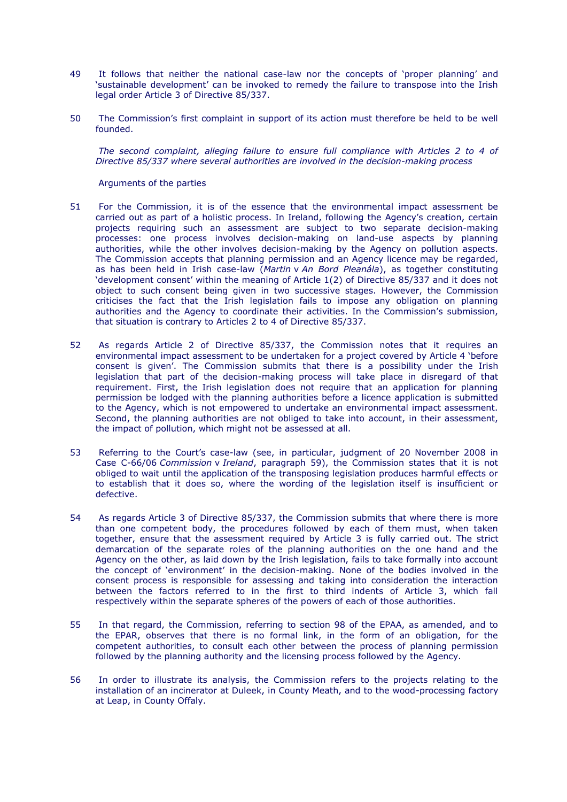- 49 It follows that neither the national case-law nor the concepts of "proper planning" and "sustainable development" can be invoked to remedy the failure to transpose into the Irish legal order Article 3 of Directive 85/337.
- 50 The Commission"s first complaint in support of its action must therefore be held to be well founded.

*The second complaint, alleging failure to ensure full compliance with Articles 2 to 4 of Directive 85/337 where several authorities are involved in the decision-making process*

Arguments of the parties

- 51 For the Commission, it is of the essence that the environmental impact assessment be carried out as part of a holistic process. In Ireland, following the Agency's creation, certain projects requiring such an assessment are subject to two separate decision-making processes: one process involves decision-making on land-use aspects by planning authorities, while the other involves decision-making by the Agency on pollution aspects. The Commission accepts that planning permission and an Agency licence may be regarded, as has been held in Irish case-law (*Martin* v *An Bord Pleanála*), as together constituting "development consent" within the meaning of Article 1(2) of Directive 85/337 and it does not object to such consent being given in two successive stages. However, the Commission criticises the fact that the Irish legislation fails to impose any obligation on planning authorities and the Agency to coordinate their activities. In the Commission's submission, that situation is contrary to Articles 2 to 4 of Directive 85/337.
- 52 As regards Article 2 of Directive 85/337, the Commission notes that it requires an environmental impact assessment to be undertaken for a project covered by Article 4 "before consent is given". The Commission submits that there is a possibility under the Irish legislation that part of the decision-making process will take place in disregard of that requirement. First, the Irish legislation does not require that an application for planning permission be lodged with the planning authorities before a licence application is submitted to the Agency, which is not empowered to undertake an environmental impact assessment. Second, the planning authorities are not obliged to take into account, in their assessment, the impact of pollution, which might not be assessed at all.
- 53 Referring to the Court"s case-law (see, in particular, judgment of 20 November 2008 in Case C-66/06 *Commission* v *Ireland*, paragraph 59), the Commission states that it is not obliged to wait until the application of the transposing legislation produces harmful effects or to establish that it does so, where the wording of the legislation itself is insufficient or defective.
- 54 As regards Article 3 of Directive 85/337, the Commission submits that where there is more than one competent body, the procedures followed by each of them must, when taken together, ensure that the assessment required by Article 3 is fully carried out. The strict demarcation of the separate roles of the planning authorities on the one hand and the Agency on the other, as laid down by the Irish legislation, fails to take formally into account the concept of "environment" in the decision-making. None of the bodies involved in the consent process is responsible for assessing and taking into consideration the interaction between the factors referred to in the first to third indents of Article 3, which fall respectively within the separate spheres of the powers of each of those authorities.
- 55 In that regard, the Commission, referring to section 98 of the EPAA, as amended, and to the EPAR, observes that there is no formal link, in the form of an obligation, for the competent authorities, to consult each other between the process of planning permission followed by the planning authority and the licensing process followed by the Agency.
- 56 In order to illustrate its analysis, the Commission refers to the projects relating to the installation of an incinerator at Duleek, in County Meath, and to the wood-processing factory at Leap, in County Offaly.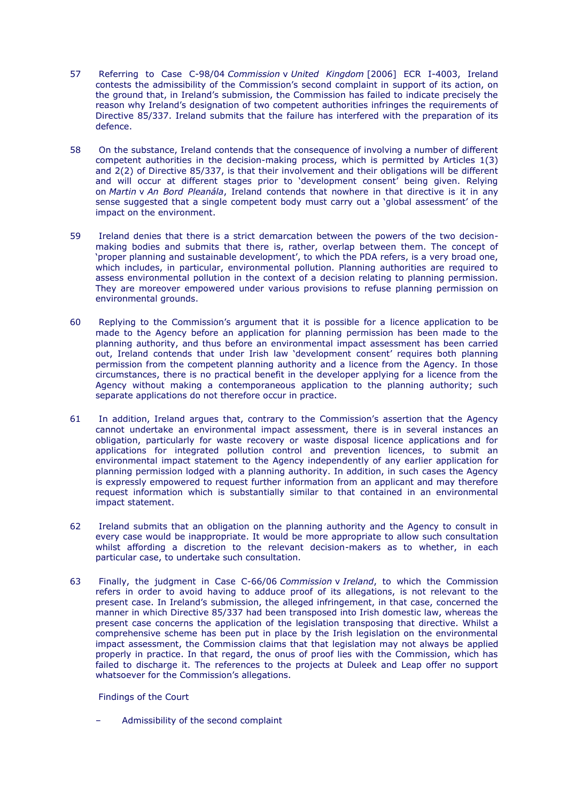- 57 Referring to Case C-98/04 *Commission* v *United Kingdom* [2006] ECR I-4003, Ireland contests the admissibility of the Commission"s second complaint in support of its action, on the ground that, in Ireland"s submission, the Commission has failed to indicate precisely the reason why Ireland"s designation of two competent authorities infringes the requirements of Directive 85/337. Ireland submits that the failure has interfered with the preparation of its defence.
- 58 On the substance, Ireland contends that the consequence of involving a number of different competent authorities in the decision-making process, which is permitted by Articles 1(3) and 2(2) of Directive 85/337, is that their involvement and their obligations will be different and will occur at different stages prior to 'development consent' being given. Relying on *Martin* v *An Bord Pleanála*, Ireland contends that nowhere in that directive is it in any sense suggested that a single competent body must carry out a "global assessment" of the impact on the environment.
- 59 Ireland denies that there is a strict demarcation between the powers of the two decisionmaking bodies and submits that there is, rather, overlap between them. The concept of 'proper planning and sustainable development', to which the PDA refers, is a very broad one, which includes, in particular, environmental pollution. Planning authorities are required to assess environmental pollution in the context of a decision relating to planning permission. They are moreover empowered under various provisions to refuse planning permission on environmental grounds.
- 60 Replying to the Commission"s argument that it is possible for a licence application to be made to the Agency before an application for planning permission has been made to the planning authority, and thus before an environmental impact assessment has been carried out, Ireland contends that under Irish law 'development consent' requires both planning permission from the competent planning authority and a licence from the Agency. In those circumstances, there is no practical benefit in the developer applying for a licence from the Agency without making a contemporaneous application to the planning authority; such separate applications do not therefore occur in practice.
- 61 In addition, Ireland argues that, contrary to the Commission"s assertion that the Agency cannot undertake an environmental impact assessment, there is in several instances an obligation, particularly for waste recovery or waste disposal licence applications and for applications for integrated pollution control and prevention licences, to submit an environmental impact statement to the Agency independently of any earlier application for planning permission lodged with a planning authority. In addition, in such cases the Agency is expressly empowered to request further information from an applicant and may therefore request information which is substantially similar to that contained in an environmental impact statement.
- 62 Ireland submits that an obligation on the planning authority and the Agency to consult in every case would be inappropriate. It would be more appropriate to allow such consultation whilst affording a discretion to the relevant decision-makers as to whether, in each particular case, to undertake such consultation.
- 63 Finally, the judgment in Case C-66/06 *Commission* v *Ireland*, to which the Commission refers in order to avoid having to adduce proof of its allegations, is not relevant to the present case. In Ireland"s submission, the alleged infringement, in that case, concerned the manner in which Directive 85/337 had been transposed into Irish domestic law, whereas the present case concerns the application of the legislation transposing that directive. Whilst a comprehensive scheme has been put in place by the Irish legislation on the environmental impact assessment, the Commission claims that that legislation may not always be applied properly in practice. In that regard, the onus of proof lies with the Commission, which has failed to discharge it. The references to the projects at Duleek and Leap offer no support whatsoever for the Commission's allegations.

Findings of the Court

– Admissibility of the second complaint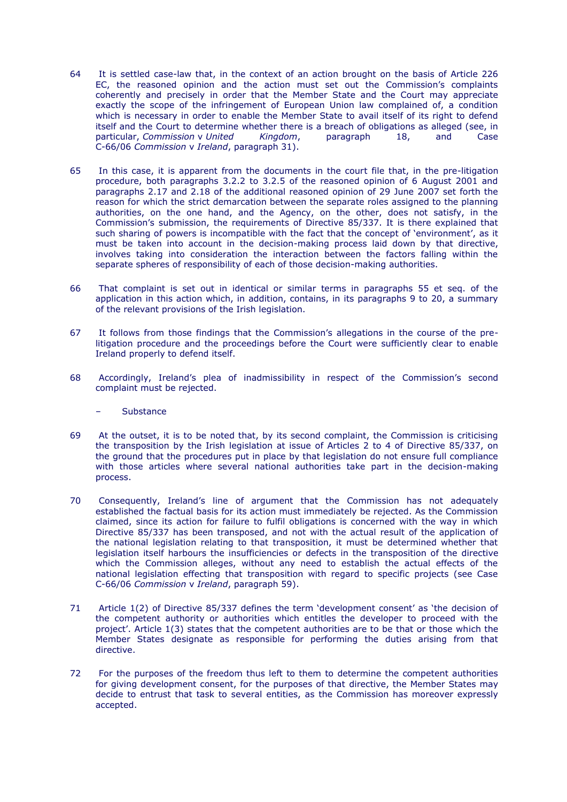- 64 It is settled case-law that, in the context of an action brought on the basis of Article 226 EC, the reasoned opinion and the action must set out the Commission's complaints coherently and precisely in order that the Member State and the Court may appreciate exactly the scope of the infringement of European Union law complained of, a condition which is necessary in order to enable the Member State to avail itself of its right to defend itself and the Court to determine whether there is a breach of obligations as alleged (see, in particular, *Commission* v *United Kingdom*, paragraph 18, and Case C-66/06 *Commission* v *Ireland*, paragraph 31).
- 65 In this case, it is apparent from the documents in the court file that, in the pre-litigation procedure, both paragraphs 3.2.2 to 3.2.5 of the reasoned opinion of 6 August 2001 and paragraphs 2.17 and 2.18 of the additional reasoned opinion of 29 June 2007 set forth the reason for which the strict demarcation between the separate roles assigned to the planning authorities, on the one hand, and the Agency, on the other, does not satisfy, in the Commission"s submission, the requirements of Directive 85/337. It is there explained that such sharing of powers is incompatible with the fact that the concept of 'environment', as it must be taken into account in the decision-making process laid down by that directive, involves taking into consideration the interaction between the factors falling within the separate spheres of responsibility of each of those decision-making authorities.
- 66 That complaint is set out in identical or similar terms in paragraphs 55 et seq. of the application in this action which, in addition, contains, in its paragraphs 9 to 20, a summary of the relevant provisions of the Irish legislation.
- 67 It follows from those findings that the Commission"s allegations in the course of the prelitigation procedure and the proceedings before the Court were sufficiently clear to enable Ireland properly to defend itself.
- 68 Accordingly, Ireland"s plea of inadmissibility in respect of the Commission"s second complaint must be rejected.
	- **Substance**
- 69 At the outset, it is to be noted that, by its second complaint, the Commission is criticising the transposition by the Irish legislation at issue of Articles 2 to 4 of Directive 85/337, on the ground that the procedures put in place by that legislation do not ensure full compliance with those articles where several national authorities take part in the decision-making process.
- 70 Consequently, Ireland"s line of argument that the Commission has not adequately established the factual basis for its action must immediately be rejected. As the Commission claimed, since its action for failure to fulfil obligations is concerned with the way in which Directive 85/337 has been transposed, and not with the actual result of the application of the national legislation relating to that transposition, it must be determined whether that legislation itself harbours the insufficiencies or defects in the transposition of the directive which the Commission alleges, without any need to establish the actual effects of the national legislation effecting that transposition with regard to specific projects (see Case C-66/06 *Commission* v *Ireland*, paragraph 59).
- 71 Article 1(2) of Directive 85/337 defines the term "development consent" as "the decision of the competent authority or authorities which entitles the developer to proceed with the project'. Article 1(3) states that the competent authorities are to be that or those which the Member States designate as responsible for performing the duties arising from that directive.
- 72 For the purposes of the freedom thus left to them to determine the competent authorities for giving development consent, for the purposes of that directive, the Member States may decide to entrust that task to several entities, as the Commission has moreover expressly accepted.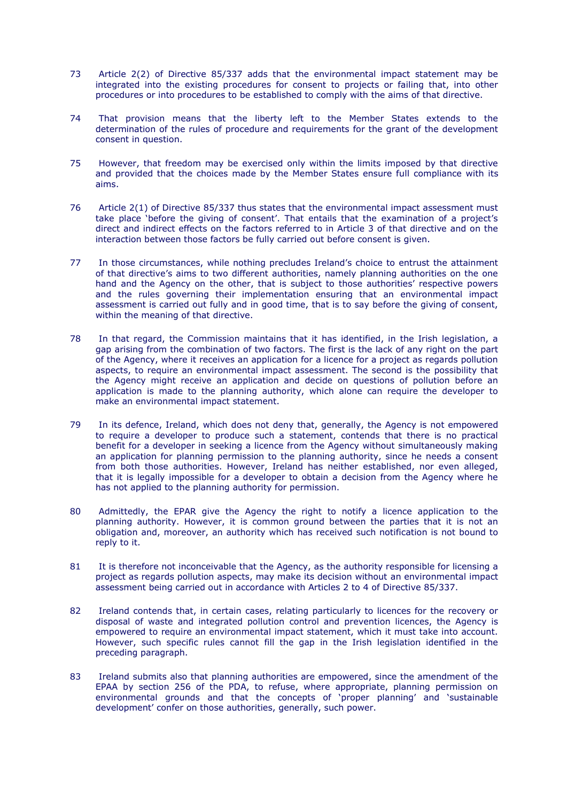- 73 Article 2(2) of Directive 85/337 adds that the environmental impact statement may be integrated into the existing procedures for consent to projects or failing that, into other procedures or into procedures to be established to comply with the aims of that directive.
- 74 That provision means that the liberty left to the Member States extends to the determination of the rules of procedure and requirements for the grant of the development consent in question.
- 75 However, that freedom may be exercised only within the limits imposed by that directive and provided that the choices made by the Member States ensure full compliance with its aims.
- 76 Article 2(1) of Directive 85/337 thus states that the environmental impact assessment must take place 'before the giving of consent'. That entails that the examination of a project's direct and indirect effects on the factors referred to in Article 3 of that directive and on the interaction between those factors be fully carried out before consent is given.
- 77 In those circumstances, while nothing precludes Ireland"s choice to entrust the attainment of that directive's aims to two different authorities, namely planning authorities on the one hand and the Agency on the other, that is subject to those authorities' respective powers and the rules governing their implementation ensuring that an environmental impact assessment is carried out fully and in good time, that is to say before the giving of consent, within the meaning of that directive.
- 78 In that regard, the Commission maintains that it has identified, in the Irish legislation, a gap arising from the combination of two factors. The first is the lack of any right on the part of the Agency, where it receives an application for a licence for a project as regards pollution aspects, to require an environmental impact assessment. The second is the possibility that the Agency might receive an application and decide on questions of pollution before an application is made to the planning authority, which alone can require the developer to make an environmental impact statement.
- 79 In its defence, Ireland, which does not deny that, generally, the Agency is not empowered to require a developer to produce such a statement, contends that there is no practical benefit for a developer in seeking a licence from the Agency without simultaneously making an application for planning permission to the planning authority, since he needs a consent from both those authorities. However, Ireland has neither established, nor even alleged, that it is legally impossible for a developer to obtain a decision from the Agency where he has not applied to the planning authority for permission.
- 80 Admittedly, the EPAR give the Agency the right to notify a licence application to the planning authority. However, it is common ground between the parties that it is not an obligation and, moreover, an authority which has received such notification is not bound to reply to it.
- 81 It is therefore not inconceivable that the Agency, as the authority responsible for licensing a project as regards pollution aspects, may make its decision without an environmental impact assessment being carried out in accordance with Articles 2 to 4 of Directive 85/337.
- 82 Ireland contends that, in certain cases, relating particularly to licences for the recovery or disposal of waste and integrated pollution control and prevention licences, the Agency is empowered to require an environmental impact statement, which it must take into account. However, such specific rules cannot fill the gap in the Irish legislation identified in the preceding paragraph.
- 83 Ireland submits also that planning authorities are empowered, since the amendment of the EPAA by section 256 of the PDA, to refuse, where appropriate, planning permission on environmental grounds and that the concepts of "proper planning" and "sustainable development' confer on those authorities, generally, such power.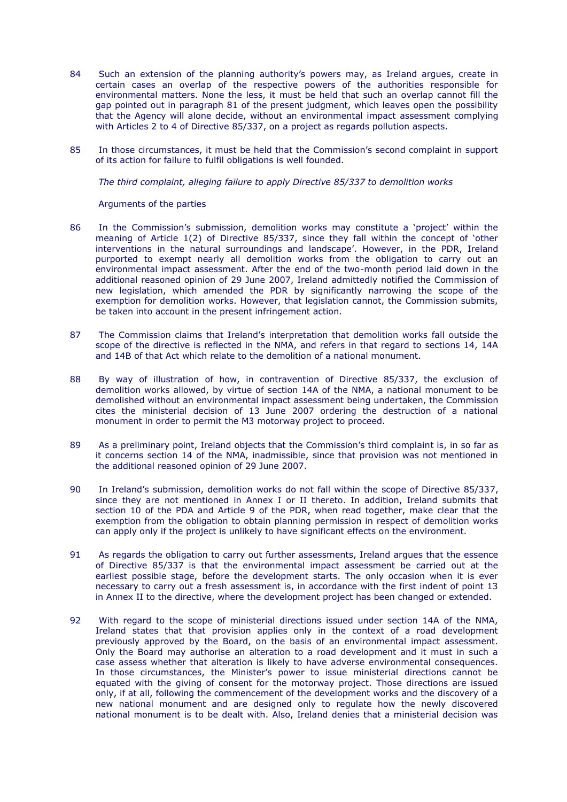- 84 Such an extension of the planning authority's powers may, as Ireland argues, create in certain cases an overlap of the respective powers of the authorities responsible for environmental matters. None the less, it must be held that such an overlap cannot fill the gap pointed out in paragraph 81 of the present judgment, which leaves open the possibility that the Agency will alone decide, without an environmental impact assessment complying with Articles 2 to 4 of Directive 85/337, on a project as regards pollution aspects.
- 85 In those circumstances, it must be held that the Commission"s second complaint in support of its action for failure to fulfil obligations is well founded.

*The third complaint, alleging failure to apply Directive 85/337 to demolition works*

Arguments of the parties

- 86 In the Commission"s submission, demolition works may constitute a "project" within the meaning of Article 1(2) of Directive 85/337, since they fall within the concept of "other interventions in the natural surroundings and landscape'. However, in the PDR, Ireland purported to exempt nearly all demolition works from the obligation to carry out an environmental impact assessment. After the end of the two-month period laid down in the additional reasoned opinion of 29 June 2007, Ireland admittedly notified the Commission of new legislation, which amended the PDR by significantly narrowing the scope of the exemption for demolition works. However, that legislation cannot, the Commission submits, be taken into account in the present infringement action.
- 87 The Commission claims that Ireland"s interpretation that demolition works fall outside the scope of the directive is reflected in the NMA, and refers in that regard to sections 14, 14A and 14B of that Act which relate to the demolition of a national monument.
- 88 By way of illustration of how, in contravention of Directive 85/337, the exclusion of demolition works allowed, by virtue of section 14A of the NMA, a national monument to be demolished without an environmental impact assessment being undertaken, the Commission cites the ministerial decision of 13 June 2007 ordering the destruction of a national monument in order to permit the M3 motorway project to proceed.
- 89 As a preliminary point, Ireland objects that the Commission's third complaint is, in so far as it concerns section 14 of the NMA, inadmissible, since that provision was not mentioned in the additional reasoned opinion of 29 June 2007.
- 90 In Ireland's submission, demolition works do not fall within the scope of Directive 85/337. since they are not mentioned in Annex I or II thereto. In addition, Ireland submits that section 10 of the PDA and Article 9 of the PDR, when read together, make clear that the exemption from the obligation to obtain planning permission in respect of demolition works can apply only if the project is unlikely to have significant effects on the environment.
- 91 As regards the obligation to carry out further assessments, Ireland argues that the essence of Directive 85/337 is that the environmental impact assessment be carried out at the earliest possible stage, before the development starts. The only occasion when it is ever necessary to carry out a fresh assessment is, in accordance with the first indent of point 13 in Annex II to the directive, where the development project has been changed or extended.
- 92 With regard to the scope of ministerial directions issued under section 14A of the NMA, Ireland states that that provision applies only in the context of a road development previously approved by the Board, on the basis of an environmental impact assessment. Only the Board may authorise an alteration to a road development and it must in such a case assess whether that alteration is likely to have adverse environmental consequences. In those circumstances, the Minister"s power to issue ministerial directions cannot be equated with the giving of consent for the motorway project. Those directions are issued only, if at all, following the commencement of the development works and the discovery of a new national monument and are designed only to regulate how the newly discovered national monument is to be dealt with. Also, Ireland denies that a ministerial decision was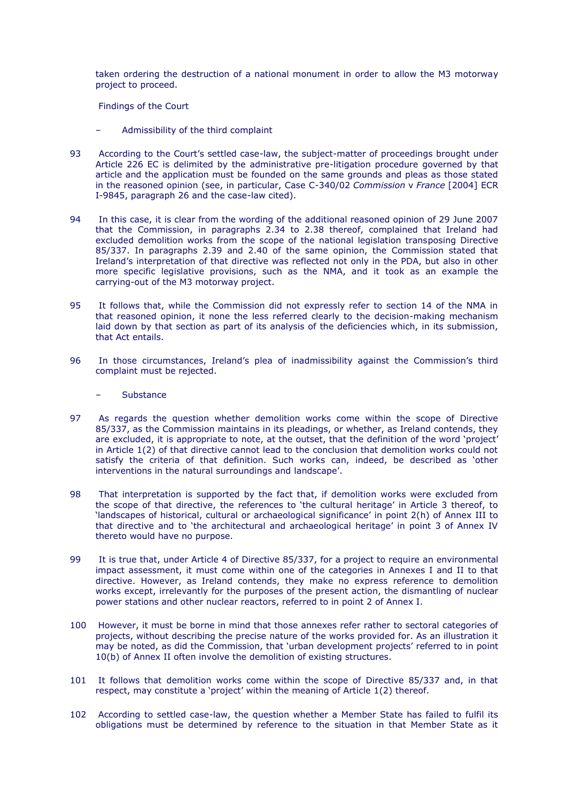taken ordering the destruction of a national monument in order to allow the M3 motorway project to proceed.

Findings of the Court

- Admissibility of the third complaint
- 93 According to the Court"s settled case-law, the subject-matter of proceedings brought under Article 226 EC is delimited by the administrative pre-litigation procedure governed by that article and the application must be founded on the same grounds and pleas as those stated in the reasoned opinion (see, in particular, Case C-340/02 *Commission* v *France* [2004] ECR I-9845, paragraph 26 and the case-law cited).
- 94 In this case, it is clear from the wording of the additional reasoned opinion of 29 June 2007 that the Commission, in paragraphs 2.34 to 2.38 thereof, complained that Ireland had excluded demolition works from the scope of the national legislation transposing Directive 85/337. In paragraphs 2.39 and 2.40 of the same opinion, the Commission stated that Ireland"s interpretation of that directive was reflected not only in the PDA, but also in other more specific legislative provisions, such as the NMA, and it took as an example the carrying-out of the M3 motorway project.
- 95 It follows that, while the Commission did not expressly refer to section 14 of the NMA in that reasoned opinion, it none the less referred clearly to the decision-making mechanism laid down by that section as part of its analysis of the deficiencies which, in its submission, that Act entails.
- 96 In those circumstances, Ireland"s plea of inadmissibility against the Commission"s third complaint must be rejected.

**Substance** 

- 97 As regards the question whether demolition works come within the scope of Directive 85/337, as the Commission maintains in its pleadings, or whether, as Ireland contends, they are excluded, it is appropriate to note, at the outset, that the definition of the word 'project' in Article 1(2) of that directive cannot lead to the conclusion that demolition works could not satisfy the criteria of that definition. Such works can, indeed, be described as 'other interventions in the natural surroundings and landscape'.
- 98 That interpretation is supported by the fact that, if demolition works were excluded from the scope of that directive, the references to 'the cultural heritage' in Article 3 thereof, to "landscapes of historical, cultural or archaeological significance" in point 2(h) of Annex III to that directive and to 'the architectural and archaeological heritage' in point 3 of Annex IV thereto would have no purpose.
- 99 It is true that, under Article 4 of Directive 85/337, for a project to require an environmental impact assessment, it must come within one of the categories in Annexes I and II to that directive. However, as Ireland contends, they make no express reference to demolition works except, irrelevantly for the purposes of the present action, the dismantling of nuclear power stations and other nuclear reactors, referred to in point 2 of Annex I.
- 100 However, it must be borne in mind that those annexes refer rather to sectoral categories of projects, without describing the precise nature of the works provided for. As an illustration it may be noted, as did the Commission, that "urban development projects" referred to in point 10(b) of Annex II often involve the demolition of existing structures.
- 101 It follows that demolition works come within the scope of Directive 85/337 and, in that respect, may constitute a 'project' within the meaning of Article 1(2) thereof.
- 102 According to settled case-law, the question whether a Member State has failed to fulfil its obligations must be determined by reference to the situation in that Member State as it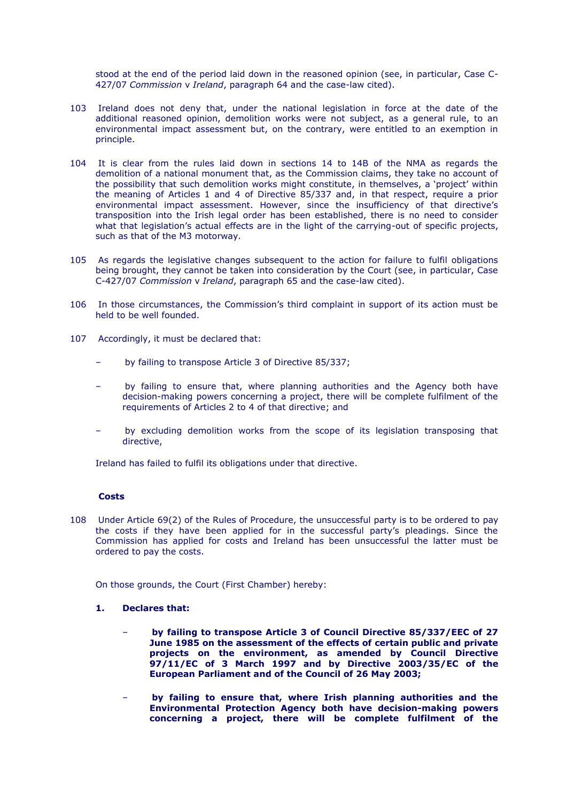stood at the end of the period laid down in the reasoned opinion (see, in particular, Case C-427/07 *Commission* v *Ireland*, paragraph 64 and the case-law cited).

- 103 Ireland does not deny that, under the national legislation in force at the date of the additional reasoned opinion, demolition works were not subject, as a general rule, to an environmental impact assessment but, on the contrary, were entitled to an exemption in principle.
- 104 It is clear from the rules laid down in sections 14 to 14B of the NMA as regards the demolition of a national monument that, as the Commission claims, they take no account of the possibility that such demolition works might constitute, in themselves, a "project" within the meaning of Articles 1 and 4 of Directive 85/337 and, in that respect, require a prior environmental impact assessment. However, since the insufficiency of that directive"s transposition into the Irish legal order has been established, there is no need to consider what that legislation's actual effects are in the light of the carrying-out of specific projects, such as that of the M3 motorway.
- 105 As regards the legislative changes subsequent to the action for failure to fulfil obligations being brought, they cannot be taken into consideration by the Court (see, in particular, Case C-427/07 *Commission* v *Ireland*, paragraph 65 and the case-law cited).
- 106 In those circumstances, the Commission"s third complaint in support of its action must be held to be well founded.
- 107 Accordingly, it must be declared that:
	- by failing to transpose Article 3 of Directive 85/337;
	- by failing to ensure that, where planning authorities and the Agency both have decision-making powers concerning a project, there will be complete fulfilment of the requirements of Articles 2 to 4 of that directive; and
	- by excluding demolition works from the scope of its legislation transposing that directive,

Ireland has failed to fulfil its obligations under that directive.

## **Costs**

108 Under Article 69(2) of the Rules of Procedure, the unsuccessful party is to be ordered to pay the costs if they have been applied for in the successful party"s pleadings. Since the Commission has applied for costs and Ireland has been unsuccessful the latter must be ordered to pay the costs.

On those grounds, the Court (First Chamber) hereby:

### **1. Declares that:**

- **by failing to transpose Article 3 of Council Directive 85/337/EEC of 27 June 1985 on the assessment of the effects of certain public and private projects on the environment, as amended by Council Directive 97/11/EC of 3 March 1997 and by Directive 2003/35/EC of the European Parliament and of the Council of 26 May 2003;**
- **by failing to ensure that, where Irish planning authorities and the Environmental Protection Agency both have decision-making powers concerning a project, there will be complete fulfilment of the**